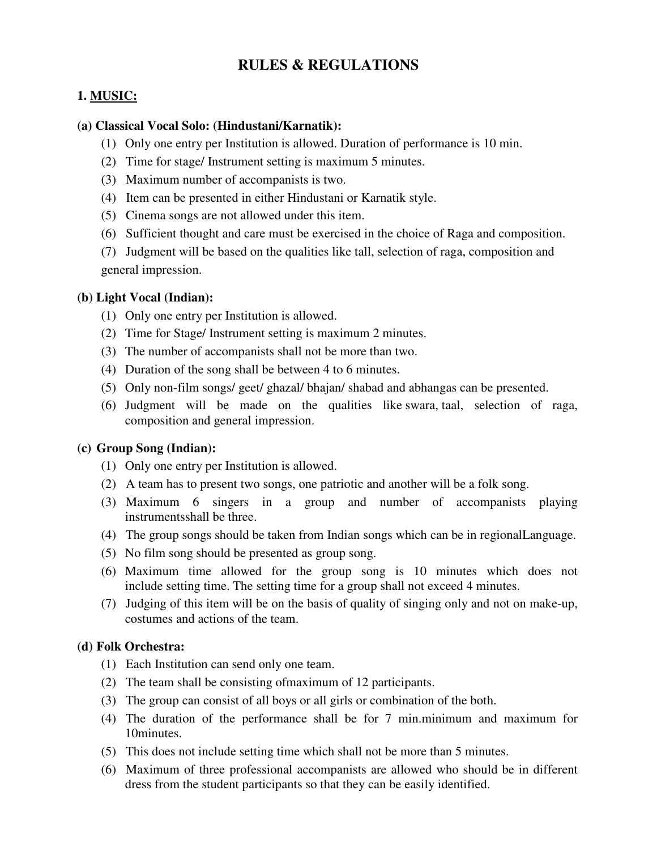# **RULES & REGULATIONS**

# **1. MUSIC:**

#### **(a) Classical Vocal Solo: (Hindustani/Karnatik):**

- (1) Only one entry per Institution is allowed. Duration of performance is 10 min.
- (2) Time for stage/ Instrument setting is maximum 5 minutes.
- (3) Maximum number of accompanists is two.
- (4) Item can be presented in either Hindustani or Karnatik style.
- (5) Cinema songs are not allowed under this item.
- (6) Sufficient thought and care must be exercised in the choice of Raga and composition.

(7) Judgment will be based on the qualities like tall, selection of raga, composition and general impression.

### **(b) Light Vocal (Indian):**

- (1) Only one entry per Institution is allowed.
- (2) Time for Stage/ Instrument setting is maximum 2 minutes.
- (3) The number of accompanists shall not be more than two.
- (4) Duration of the song shall be between 4 to 6 minutes.
- (5) Only non-film songs/ geet/ ghazal/ bhajan/ shabad and abhangas can be presented.
- (6) Judgment will be made on the qualities like swara, taal, selection of raga, composition and general impression.

### **(c) Group Song (Indian):**

- (1) Only one entry per Institution is allowed.
- (2) A team has to present two songs, one patriotic and another will be a folk song.
- (3) Maximum 6 singers in a group and number of accompanists playing instrumentsshall be three.
- (4) The group songs should be taken from Indian songs which can be in regionalLanguage.
- (5) No film song should be presented as group song.
- (6) Maximum time allowed for the group song is 10 minutes which does not include setting time. The setting time for a group shall not exceed 4 minutes.
- (7) Judging of this item will be on the basis of quality of singing only and not on make-up, costumes and actions of the team.

## **(d) Folk Orchestra:**

- (1) Each Institution can send only one team.
- (2) The team shall be consisting ofmaximum of 12 participants.
- (3) The group can consist of all boys or all girls or combination of the both.
- (4) The duration of the performance shall be for 7 min.minimum and maximum for 10minutes.
- (5) This does not include setting time which shall not be more than 5 minutes.
- (6) Maximum of three professional accompanists are allowed who should be in different dress from the student participants so that they can be easily identified.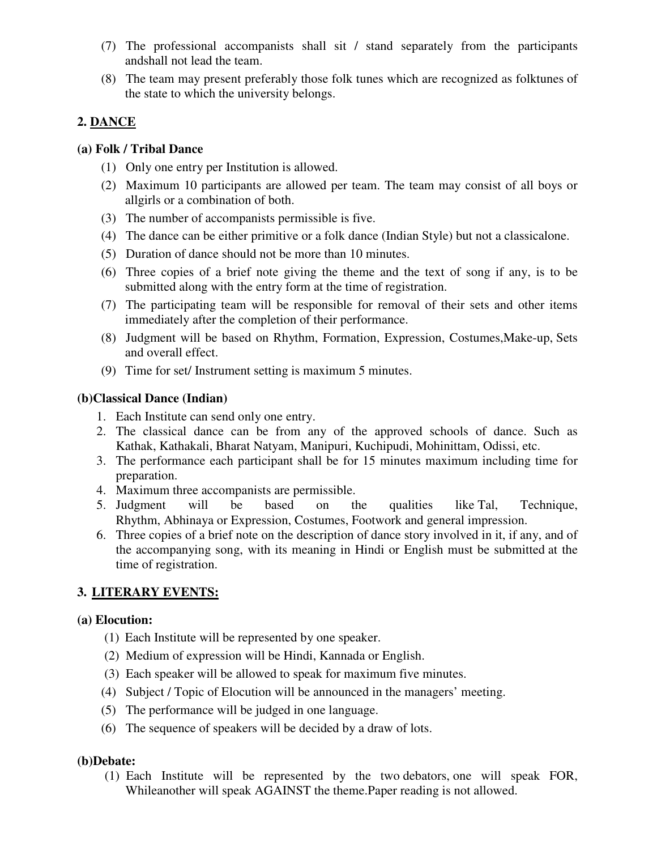- (7) The professional accompanists shall sit / stand separately from the participants andshall not lead the team.
- (8) The team may present preferably those folk tunes which are recognized as folktunes of the state to which the university belongs.

# **2. DANCE**

### **(a) Folk / Tribal Dance**

- (1) Only one entry per Institution is allowed.
- (2) Maximum 10 participants are allowed per team. The team may consist of all boys or allgirls or a combination of both.
- (3) The number of accompanists permissible is five.
- (4) The dance can be either primitive or a folk dance (Indian Style) but not a classicalone.
- (5) Duration of dance should not be more than 10 minutes.
- (6) Three copies of a brief note giving the theme and the text of song if any, is to be submitted along with the entry form at the time of registration.
- (7) The participating team will be responsible for removal of their sets and other items immediately after the completion of their performance.
- (8) Judgment will be based on Rhythm, Formation, Expression, Costumes,Make-up, Sets and overall effect.
- (9) Time for set/ Instrument setting is maximum 5 minutes.

### **(b)Classical Dance (Indian)**

- 1. Each Institute can send only one entry.
- 2. The classical dance can be from any of the approved schools of dance. Such as Kathak, Kathakali, Bharat Natyam, Manipuri, Kuchipudi, Mohinittam, Odissi, etc.
- 3. The performance each participant shall be for 15 minutes maximum including time for preparation.
- 4. Maximum three accompanists are permissible.
- 5. Judgment will be based on the qualities like Tal, Technique, Rhythm, Abhinaya or Expression, Costumes, Footwork and general impression.
- 6. Three copies of a brief note on the description of dance story involved in it, if any, and of the accompanying song, with its meaning in Hindi or English must be submitted at the time of registration.

# **3. LITERARY EVENTS:**

## **(a) Elocution:**

- (1) Each Institute will be represented by one speaker.
- (2) Medium of expression will be Hindi, Kannada or English.
- (3) Each speaker will be allowed to speak for maximum five minutes.
- (4) Subject / Topic of Elocution will be announced in the managers' meeting.
- (5) The performance will be judged in one language.
- (6) The sequence of speakers will be decided by a draw of lots.

## **(b)Debate:**

 (1) Each Institute will be represented by the two debators, one will speak FOR, Whileanother will speak AGAINST the theme.Paper reading is not allowed.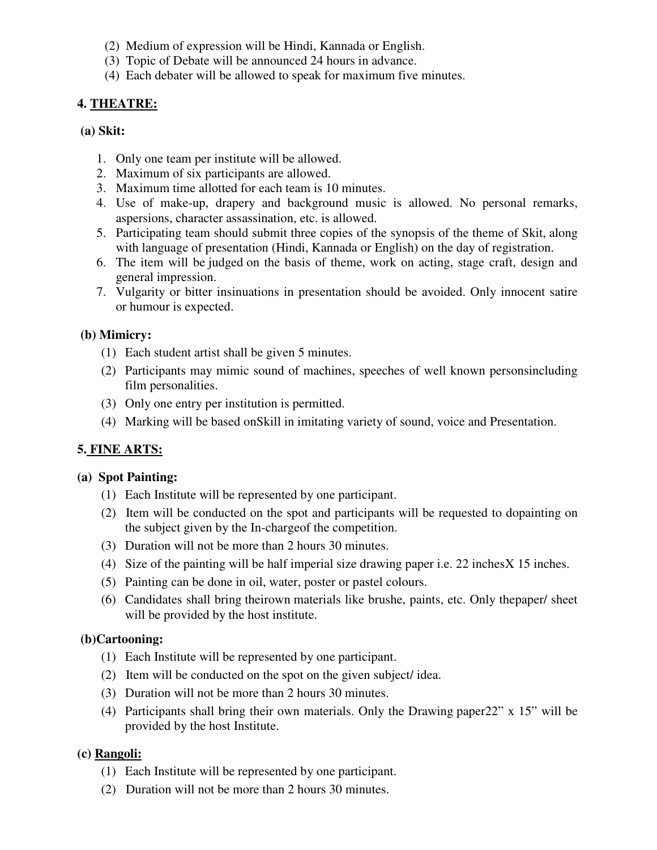- (2) Medium of expression will be Hindi, Kannada or English.
- (3) Topic of Debate will be announced 24 hours in advance.
- (4) Each debater will be allowed to speak for maximum five minutes.

### **4. THEATRE:**

#### **(a) Skit:**

- 1. Only one team per institute will be allowed.
- 2. Maximum of six participants are allowed.
- 3. Maximum time allotted for each team is 10 minutes.
- 4. Use of make-up, drapery and background music is allowed. No personal remarks, aspersions, character assassination, etc. is allowed.
- 5. Participating team should submit three copies of the synopsis of the theme of Skit, along with language of presentation (Hindi, Kannada or English) on the day of registration.
- 6. The item will be judged on the basis of theme, work on acting, stage craft, design and general impression.
- 7. Vulgarity or bitter insinuations in presentation should be avoided. Only innocent satire or humour is expected.

### **(b) Mimicry:**

- (1) Each student artist shall be given 5 minutes.
- (2) Participants may mimic sound of machines, speeches of well known personsincluding film personalities.
- (3) Only one entry per institution is permitted.
- (4) Marking will be based onSkill in imitating variety of sound, voice and Presentation.

## **5. FINE ARTS:**

### **(a) Spot Painting:**

- (1) Each Institute will be represented by one participant.
- (2) Item will be conducted on the spot and participants will be requested to dopainting on the subject given by the In-chargeof the competition.
- (3) Duration will not be more than 2 hours 30 minutes.
- (4) Size of the painting will be half imperial size drawing paper i.e. 22 inches  $X$  15 inches.
- (5) Painting can be done in oil, water, poster or pastel colours.
- (6) Candidates shall bring theirown materials like brushe, paints, etc. Only thepaper/ sheet will be provided by the host institute.

### **(b)Cartooning:**

- (1) Each Institute will be represented by one participant.
- (2) Item will be conducted on the spot on the given subject/ idea.
- (3) Duration will not be more than 2 hours 30 minutes.
- (4) Participants shall bring their own materials. Only the Drawing paper22" x 15" will be provided by the host Institute.

### **(c) Rangoli:**

- (1) Each Institute will be represented by one participant.
- (2) Duration will not be more than 2 hours 30 minutes.